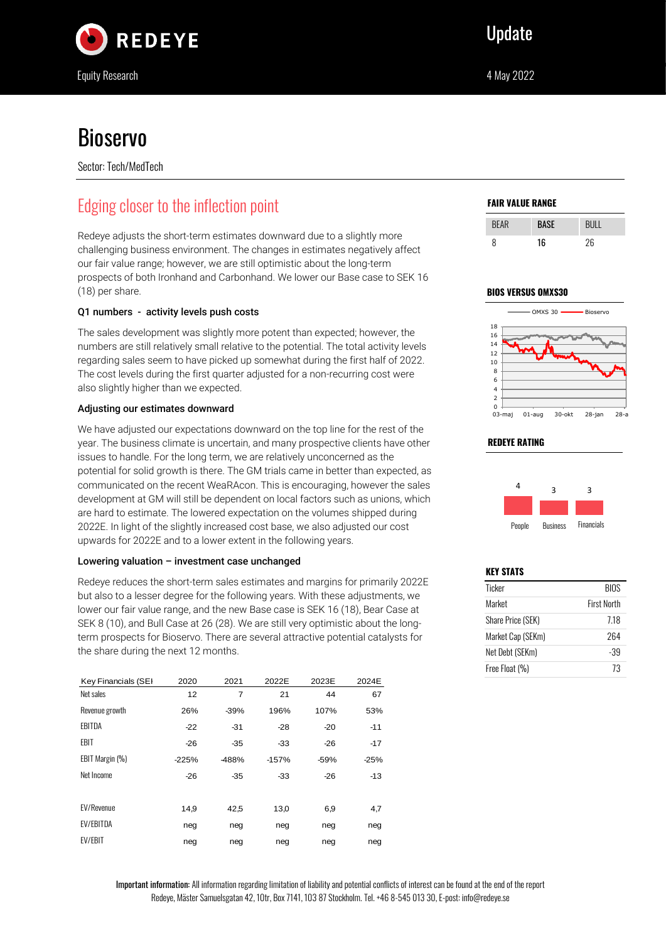

# **Bioservo**

Sector: Tech/MedTech

# Edging closer to the inflection point

Redeye adjusts the short-term estimates downward due to a slightly more challenging business environment. The changes in estimates negatively affect our fair value range; however, we are still optimistic about the long-term prospects of both Ironhand and Carbonhand. We lower our Base case to SEK 16 (18) per share.

### Q1 numbers - activity levels push costs

The sales development was slightly more potent than expected; however, the numbers are still relatively small relative to the potential. The total activity levels regarding sales seem to have picked up somewhat during the first half of 2022. The cost levels during the first quarter adjusted for a non-recurring cost were also slightly higher than we expected.

#### Adjusting our estimates downward

We have adjusted our expectations downward on the top line for the rest of the year. The business climate is uncertain, and many prospective clients have other issues to handle. For the long term, we are relatively unconcerned as the potential for solid growth is there. The GM trials came in better than expected, as communicated on the recent WeaRAcon. This is encouraging, however the sales development at GM will still be dependent on local factors such as unions, which are hard to estimate. The lowered expectation on the volumes shipped during 2022E. In light of the slightly increased cost base, we also adjusted our cost upwards for 2022E and to a lower extent in the following years.

#### Lowering valuation – investment case unchanged

Redeye reduces the short-term sales estimates and margins for primarily 2022E but also to a lesser degree for the following years. With these adjustments, we lower our fair value range, and the new Base case is SEK 16 (18), Bear Case at SEK 8 (10), and Bull Case at 26 (28). We are still very optimistic about the longterm prospects for Bioservo. There are several attractive potential catalysts for the share during the next 12 months.

| Key Financials (SEI | 2020    | 2021   | 2022E   | 2023E  | 2024E  |
|---------------------|---------|--------|---------|--------|--------|
| Net sales           | 12      | 7      | 21      | 44     | 67     |
| Revenue growth      | 26%     | $-39%$ | 196%    | 107%   | 53%    |
| <b>FBITDA</b>       | $-22$   | $-31$  | $-28$   | $-20$  | $-11$  |
| EBIT                | $-26$   | $-35$  | $-33$   | $-26$  | $-17$  |
| EBIT Margin (%)     | $-225%$ | -488%  | $-157%$ | $-59%$ | $-25%$ |
| Net Income          | $-26$   | $-35$  | $-33$   | $-26$  | $-13$  |
|                     |         |        |         |        |        |
| <b>FV/Revenue</b>   | 14,9    | 42,5   | 13,0    | 6,9    | 4,7    |
| <b>FV/FBITDA</b>    | neg     | neg    | neg     | neg    | neg    |
| <b>FV/FBIT</b>      | neg     | neg    | neg     | neg    | neg    |

#### **FAIR VALUE RANGE**

| <b>RFAR</b> | ч  | RIII |
|-------------|----|------|
| ጸ           | 16 | 26   |



#### **REDEYE RATING**



#### **KEY STATS**

| Ticker            | BIOS               |
|-------------------|--------------------|
| Market            | <b>First North</b> |
| Share Price (SEK) | 7.18               |
| Market Cap (SEKm) | 264                |
| Net Debt (SEKm)   | -39                |
| Free Float (%)    | 73                 |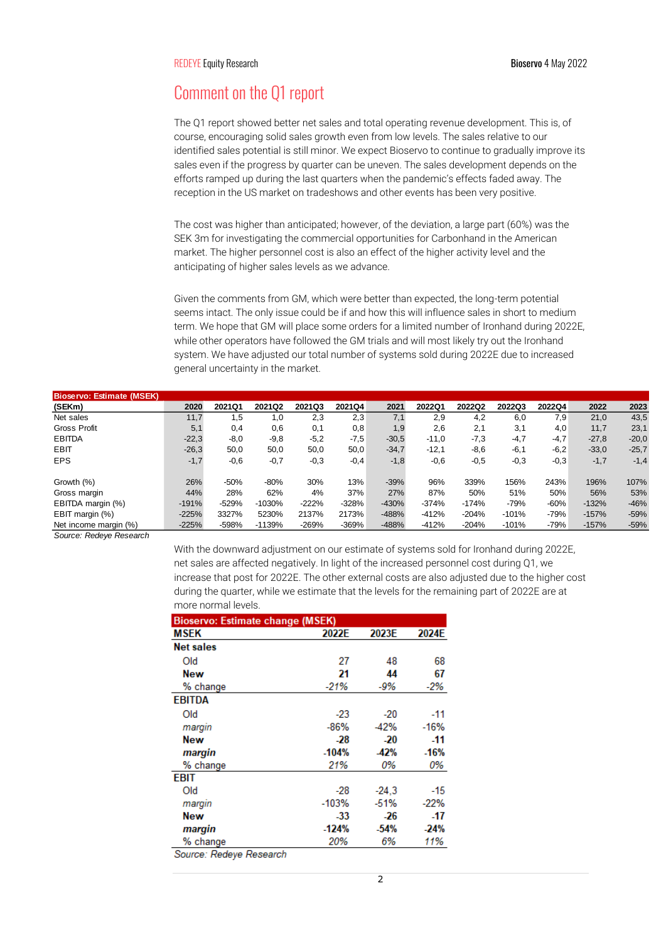### Comment on the Q1 report

The Q1 report showed better net sales and total operating revenue development. This is, of course, encouraging solid sales growth even from low levels. The sales relative to our identified sales potential is still minor. We expect Bioservo to continue to gradually improve its sales even if the progress by quarter can be uneven. The sales development depends on the efforts ramped up during the last quarters when the pandemic's effects faded away. The reception in the US market on tradeshows and other events has been very positive.

The cost was higher than anticipated; however, of the deviation, a large part (60%) was the SEK 3m for investigating the commercial opportunities for Carbonhand in the American market. The higher personnel cost is also an effect of the higher activity level and the anticipating of higher sales levels as we advance.

Given the comments from GM, which were better than expected, the long-term potential seems intact. The only issue could be if and how this will influence sales in short to medium term. We hope that GM will place some orders for a limited number of Ironhand during 2022E, while other operators have followed the GM trials and will most likely try out the Ironhand system. We have adjusted our total number of systems sold during 2022E due to increased general uncertainty in the market.

| <b>Bioservo: Estimate (MSEK)</b> |         |         |          |         |         |         |         |         |         |        |         |         |
|----------------------------------|---------|---------|----------|---------|---------|---------|---------|---------|---------|--------|---------|---------|
| (SEKm)                           | 2020    | 2021Q1  | 2021Q2   | 2021Q3  | 2021Q4  | 2021    | 2022Q1  | 2022Q2  | 2022Q3  | 2022Q4 | 2022    | 2023    |
| Net sales                        | 11,7    | 1,5     | 1,0      | 2,3     | 2,3     | 7,1     | 2,9     | 4,2     | 6,0     | 7.9    | 21,0    | 43,5    |
| Gross Profit                     | 5,1     | 0,4     | 0,6      | 0,1     | 0,8     | 1,9     | 2,6     | 2,1     | 3,1     | 4,0    | 11,7    | 23,1    |
| <b>EBITDA</b>                    | $-22,3$ | $-8,0$  | $-9,8$   | $-5,2$  | $-7,5$  | $-30,5$ | $-11,0$ | $-7,3$  | $-4,7$  | $-4,7$ | $-27,8$ | $-20,0$ |
| <b>EBIT</b>                      | $-26,3$ | 50,0    | 50,0     | 50,0    | 50,0    | $-34,7$ | $-12,1$ | $-8,6$  | $-6,1$  | $-6,2$ | $-33,0$ | $-25,7$ |
| <b>EPS</b>                       | $-1,7$  | $-0,6$  | $-0,7$   | $-0,3$  | $-0,4$  | $-1,8$  | $-0,6$  | $-0,5$  | $-0,3$  | $-0,3$ | $-1,7$  | $-1,4$  |
| Growth (%)                       | 26%     | $-50%$  | $-80%$   | 30%     | 13%     | $-39%$  | 96%     | 339%    | 156%    | 243%   | 196%    | 107%    |
| Gross margin                     | 44%     | 28%     | 62%      | 4%      | 37%     | 27%     | 87%     | 50%     | 51%     | 50%    | 56%     | 53%     |
| EBITDA margin (%)                | $-191%$ | $-529%$ | $-1030%$ | $-222%$ | $-328%$ | $-430%$ | $-374%$ | $-174%$ | $-79%$  | $-60%$ | $-132%$ | $-46%$  |
| EBIT margin (%)                  | $-225%$ | 3327%   | 5230%    | 2137%   | 2173%   | $-488%$ | $-412%$ | $-204%$ | $-101%$ | $-79%$ | $-157%$ | $-59%$  |
| Net income margin (%)            | $-225%$ | $-598%$ | $-1139%$ | $-269%$ | $-369%$ | $-488%$ | $-412%$ | $-204%$ | $-101%$ | $-79%$ | $-157%$ | $-59%$  |

*Source: Redeye Research*

With the downward adjustment on our estimate of systems sold for Ironhand during 2022E. net sales are affected negatively. In light of the increased personnel cost during Q1, we increase that post for 2022E. The other external costs are also adjusted due to the higher cost during the quarter, while we estimate that the levels for the remaining part of 2022E are at more normal levels.

|                  | <b>Bioservo: Estimate change (MSEK)</b> |         |        |  |  |  |  |  |  |  |
|------------------|-----------------------------------------|---------|--------|--|--|--|--|--|--|--|
| <b>MSEK</b>      | 2022E                                   | 2023E   | 2024E  |  |  |  |  |  |  |  |
| <b>Net sales</b> |                                         |         |        |  |  |  |  |  |  |  |
| Old              | 27                                      | 48      | 68     |  |  |  |  |  |  |  |
| <b>New</b>       | 21                                      | 44      | 67     |  |  |  |  |  |  |  |
| % change         | $-21%$                                  | -9%     | -2%    |  |  |  |  |  |  |  |
| <b>EBITDA</b>    |                                         |         |        |  |  |  |  |  |  |  |
| Old              | $-23$                                   | $-20$   | -11    |  |  |  |  |  |  |  |
| margin           | $-86%$                                  | $-42%$  | $-16%$ |  |  |  |  |  |  |  |
| <b>New</b>       | $-28$                                   | $-20$   | $-11$  |  |  |  |  |  |  |  |
| margin           | $-104%$                                 | -42%    | $-16%$ |  |  |  |  |  |  |  |
| % change         | 21%                                     | 0%      | 0%     |  |  |  |  |  |  |  |
| <b>EBIT</b>      |                                         |         |        |  |  |  |  |  |  |  |
| Old              | $-28$                                   | $-24.3$ | -15    |  |  |  |  |  |  |  |
| margin           | $-103%$                                 | $-51%$  | -22%   |  |  |  |  |  |  |  |
| <b>New</b>       | $-33$                                   | $-26$   | -17    |  |  |  |  |  |  |  |
| margin           | $-124%$                                 | $-54%$  | $-24%$ |  |  |  |  |  |  |  |
| % change         | 20%                                     | 6%      | 11%    |  |  |  |  |  |  |  |
| - -<br>-         |                                         |         |        |  |  |  |  |  |  |  |

Source: Redeve Research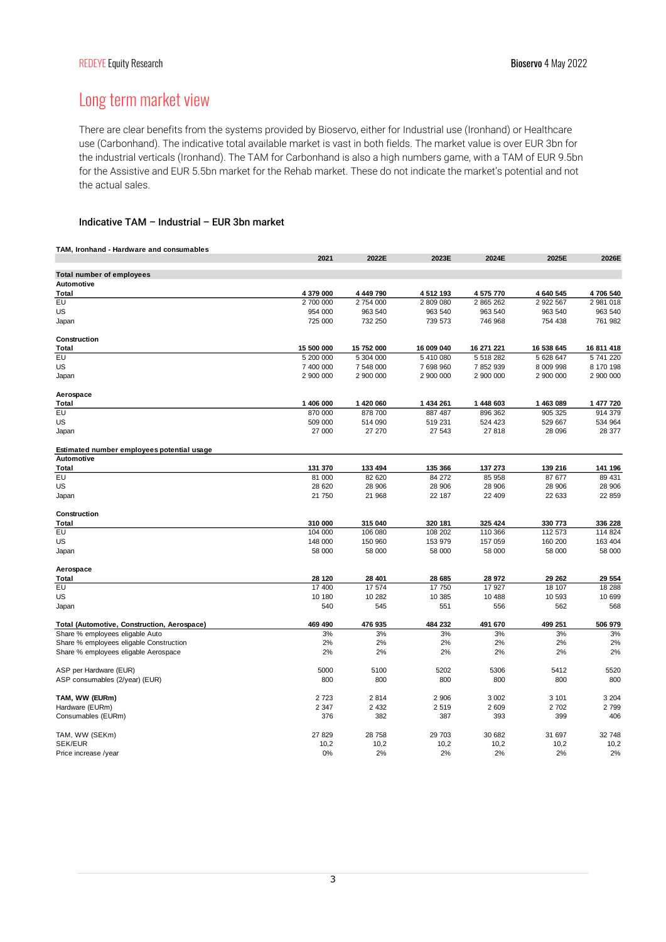# Long term market view

There are clear benefits from the systems provided by Bioservo, either for Industrial use (Ironhand) or Healthcare use (Carbonhand). The indicative total available market is vast in both fields. The market value is over EUR 3bn for the industrial verticals (Ironhand). The TAM for Carbonhand is also a high numbers game, with a TAM of EUR 9.5bn for the Assistive and EUR 5.5bn market for the Rehab market. These do not indicate the market's potential and not the actual sales.

#### Indicative TAM – Industrial – EUR 3bn market

#### **TAM, Ironhand - Hardware and consumables**

|                                             | 2021       | 2022E      | 2023E      | 2024E      | 2025E      | 2026E      |
|---------------------------------------------|------------|------------|------------|------------|------------|------------|
| <b>Total number of employees</b>            |            |            |            |            |            |            |
| Automotive                                  |            |            |            |            |            |            |
| Total                                       | 4 379 000  | 4 449 790  | 4 512 193  | 4 575 770  | 4 640 545  | 4706540    |
| EU                                          | 2 700 000  | 2 754 000  | 2 809 080  | 2 865 262  | 2 922 567  | 2 981 018  |
| US                                          | 954 000    | 963 540    | 963 540    | 963 540    | 963 540    | 963 540    |
| Japan                                       | 725 000    | 732 250    | 739 573    | 746 968    | 754 438    | 761 982    |
|                                             |            |            |            |            |            |            |
| Construction                                |            |            |            |            |            |            |
| Total                                       | 15 500 000 | 15 752 000 | 16 009 040 | 16 271 221 | 16 538 645 | 16 811 418 |
| EU                                          | 5 200 000  | 5 304 000  | 5 410 080  | 5 518 282  | 5 628 647  | 5 741 220  |
| US                                          | 7 400 000  | 7 548 000  | 7 698 960  | 7 852 939  | 8 009 998  | 8 170 198  |
| Japan                                       | 2 900 000  | 2 900 000  | 2 900 000  | 2 900 000  | 2 900 000  | 2 900 000  |
|                                             |            |            |            |            |            |            |
| Aerospace                                   |            |            |            |            |            |            |
| Total                                       | 1 406 000  | 1 420 060  | 1 434 261  | 1 448 603  | 1 463 089  | 1 477 720  |
| EU                                          | 870 000    | 878 700    | 887 487    | 896 362    | 905 325    | 914 379    |
| US                                          | 509 000    | 514 090    | 519 231    | 524 423    | 529 667    | 534 964    |
| Japan                                       | 27 000     | 27 270     | 27 543     | 27 818     | 28 096     | 28 377     |
|                                             |            |            |            |            |            |            |
| Estimated number employees potential usage  |            |            |            |            |            |            |
| <b>Automotive</b>                           |            |            |            |            |            |            |
| Total                                       | 131 370    | 133 494    | 135 366    | 137 273    | 139 216    | 141 196    |
| EU                                          | 81 000     | 82 620     | 84 272     | 85 958     | 87 677     | 89 431     |
| US                                          | 28 6 20    | 28 906     | 28 906     | 28 906     | 28 906     | 28 906     |
| Japan                                       | 21 750     | 21 968     | 22 187     | 22 409     | 22 633     | 22 859     |
|                                             |            |            |            |            |            |            |
| Construction                                |            |            |            |            |            |            |
| Total                                       | 310 000    | 315 040    | 320 181    | 325 424    | 330 773    | 336 228    |
| EU                                          | 104 000    | 106 080    | 108 202    | 110 366    | 112 573    | 114 824    |
| US                                          | 148 000    | 150 960    | 153 979    | 157 059    | 160 200    | 163 404    |
| Japan                                       | 58 000     | 58 000     | 58 000     | 58 000     | 58 000     | 58 000     |
|                                             |            |            |            |            |            |            |
| Aerospace                                   |            |            |            |            |            |            |
| Total                                       | 28 120     | 28 401     | 28 685     | 28 972     | 29 26 2    | 29 554     |
| EU                                          | 17 400     | 17 574     | 17 750     | 17 927     | 18 107     | 18 288     |
| US                                          | 10 180     | 10 282     | 10 385     | 10 488     | 10 593     | 10 699     |
| Japan                                       | 540        | 545        | 551        | 556        | 562        | 568        |
|                                             |            |            |            |            |            |            |
| Total (Automotive, Construction, Aerospace) | 469 490    | 476 935    | 484 232    | 491 670    | 499 251    | 506 979    |
| Share % employees eligable Auto             | 3%         | 3%         | 3%         | 3%         | 3%         | 3%         |
| Share % employees eligable Construction     | 2%         | 2%         | 2%         | 2%         | 2%         | 2%         |
| Share % employees eligable Aerospace        | 2%         | 2%         | 2%         | 2%         | 2%         | 2%         |
|                                             |            |            |            |            |            |            |
| ASP per Hardware (EUR)                      | 5000       | 5100       | 5202       | 5306       | 5412       | 5520       |
| ASP consumables (2/year) (EUR)              | 800        | 800        | 800        | 800        | 800        | 800        |
|                                             |            |            |            |            |            |            |
| TAM, WW (EURm)                              | 2723       | 2814       | 2 9 0 6    | 3 0 0 2    | 3 1 0 1    | 3 2 0 4    |
| Hardware (EURm)                             | 2 3 4 7    | 2 4 3 2    | 2519       | 2609       | 2702       | 2799       |
| Consumables (EURm)                          | 376        | 382        | 387        | 393        | 399        | 406        |
|                                             |            |            |            |            |            |            |
| TAM, WW (SEKm)                              | 27 829     | 28 758     | 29 703     | 30 682     | 31 697     | 32 748     |
| SEK/EUR                                     | 10,2       | 10,2       | 10,2       | 10,2       | 10,2       | 10,2       |
| Price increase /year                        | 0%         | 2%         | 2%         | 2%         | 2%         | 2%         |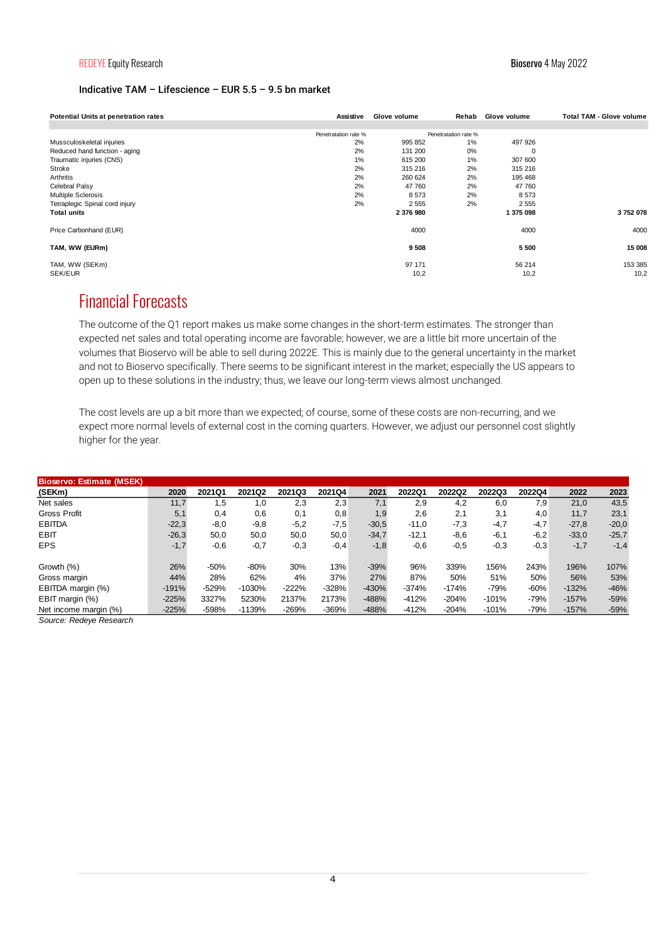#### Indicative TAM – Lifescience – EUR 5.5 – 9.5 bn market

| Potential Units at penetration rates | Assistive            | Glove volume | Rehab                | Glove volume | <b>Total TAM - Glove volume</b> |
|--------------------------------------|----------------------|--------------|----------------------|--------------|---------------------------------|
|                                      |                      |              |                      |              |                                 |
|                                      | Penetratation rate % |              | Penetratation rate % |              |                                 |
| Mussculoskeletal injuries            | 2%                   | 995 852      | $1\%$                | 497 926      |                                 |
| Reduced hand function - aging        | 2%                   | 131 200      | 0%                   | 0            |                                 |
| Traumatic injuries (CNS)             | $1\%$                | 615 200      | 1%                   | 307 600      |                                 |
| Stroke                               | 2%                   | 315 216      | 2%                   | 315 216      |                                 |
| Arthritis                            | 2%                   | 260 624      | 2%                   | 195 468      |                                 |
| Celebral Palsy                       | 2%                   | 47 760       | 2%                   | 47 760       |                                 |
| Multiple Sclerosis                   | 2%                   | 8573         | 2%                   | 8 5 7 3      |                                 |
| Tetraplegic Spinal cord injury       | 2%                   | 2 5 5 5      | 2%                   | 2 5 5 5      |                                 |
| <b>Total units</b>                   |                      | 2 376 980    |                      | 1 375 098    | 3752078                         |
| Price Carbonhand (EUR)               |                      | 4000         |                      | 4000         | 4000                            |
| TAM, WW (EURm)                       |                      | 9 5 0 8      |                      | 5 500        | 15 008                          |
| TAM, WW (SEKm)                       |                      | 97 171       |                      | 56 214       | 153 385                         |
| SEK/EUR                              |                      | 10,2         |                      | 10,2         | 10,2                            |

### Financial Forecasts

The outcome of the Q1 report makes us make some changes in the short-term estimates. The stronger than expected net sales and total operating income are favorable; however, we are a little bit more uncertain of the volumes that Bioservo will be able to sell during 2022E. This is mainly due to the general uncertainty in the market and not to Bioservo specifically. There seems to be significant interest in the market; especially the US appears to open up to these solutions in the industry; thus, we leave our long-term views almost unchanged.

The cost levels are up a bit more than we expected; of course, some of these costs are non-recurring, and we expect more normal levels of external cost in the coming quarters. However, we adjust our personnel cost slightly higher for the year.

| <b>Bioservo: Estimate (MSEK)</b> |         |         |          |         |         |         |         |         |         |        |         |         |
|----------------------------------|---------|---------|----------|---------|---------|---------|---------|---------|---------|--------|---------|---------|
| (SEKm)                           | 2020    | 2021Q1  | 2021Q2   | 2021Q3  | 2021Q4  | 2021    | 2022Q1  | 2022Q2  | 2022Q3  | 2022Q4 | 2022    | 2023    |
| Net sales                        | 11,7    | 1,5     | 1,0      | 2,3     | 2,3     | 7,1     | 2,9     | 4,2     | 6,0     | 7,9    | 21,0    | 43,5    |
| <b>Gross Profit</b>              | 5,1     | 0,4     | 0,6      | 0,1     | 0,8     | 1,9     | 2.6     | 2,1     | 3,1     | 4,0    | 11,7    | 23,1    |
| <b>EBITDA</b>                    | $-22,3$ | $-8,0$  | $-9,8$   | $-5,2$  | $-7,5$  | $-30,5$ | $-11.0$ | $-7,3$  | $-4,7$  | $-4,7$ | $-27.8$ | $-20,0$ |
| <b>EBIT</b>                      | $-26,3$ | 50,0    | 50,0     | 50,0    | 50,0    | $-34,7$ | $-12,1$ | $-8,6$  | $-6,1$  | $-6,2$ | $-33,0$ | $-25,7$ |
| <b>EPS</b>                       | $-1,7$  | $-0,6$  | $-0,7$   | $-0,3$  | $-0,4$  | $-1,8$  | $-0,6$  | $-0,5$  | $-0,3$  | $-0,3$ | $-1,7$  | $-1,4$  |
| Growth (%)                       | 26%     | $-50%$  | $-80%$   | 30%     | 13%     | $-39%$  | 96%     | 339%    | 156%    | 243%   | 196%    | 107%    |
| Gross margin                     | 44%     | 28%     | 62%      | 4%      | 37%     | 27%     | 87%     | 50%     | 51%     | 50%    | 56%     | 53%     |
| EBITDA margin (%)                | $-191%$ | $-529%$ | $-1030%$ | $-222%$ | $-328%$ | $-430%$ | $-374%$ | $-174%$ | $-79%$  | $-60%$ | $-132%$ | $-46%$  |
| EBIT margin (%)                  | $-225%$ | 3327%   | 5230%    | 2137%   | 2173%   | $-488%$ | $-412%$ | $-204%$ | $-101%$ | $-79%$ | $-157%$ | $-59%$  |
| Net income margin (%)            | $-225%$ | $-598%$ | $-1139%$ | $-269%$ | $-369%$ | $-488%$ | $-412%$ | $-204%$ | $-101%$ | $-79%$ | $-157%$ | $-59%$  |

*Source: Redeye Research*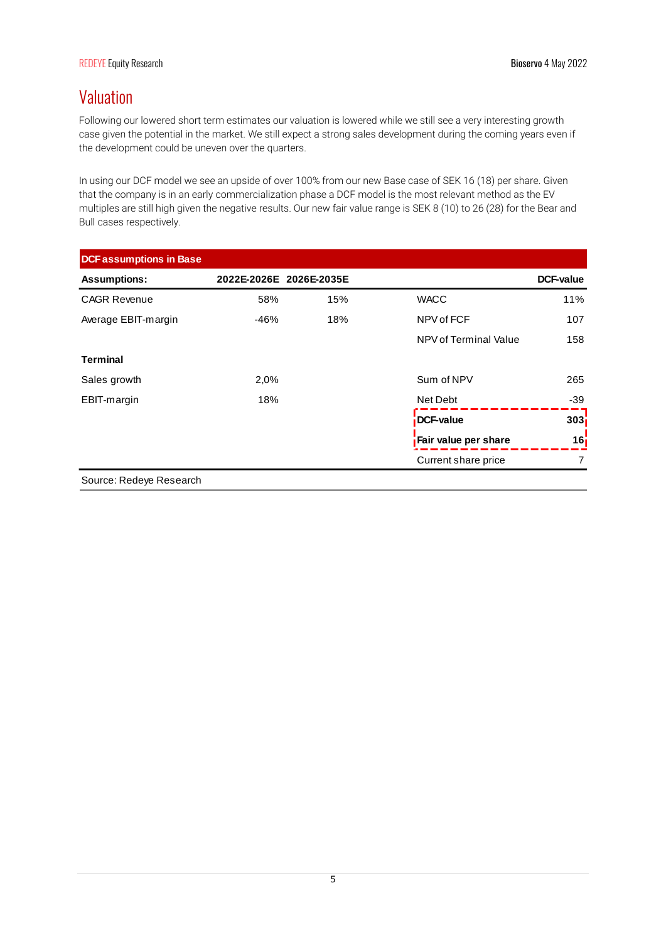# Valuation

Following our lowered short term estimates our valuation is lowered while we still see a very interesting growth case given the potential in the market. We still expect a strong sales development during the coming years even if the development could be uneven over the quarters.

In using our DCF model we see an upside of over 100% from our new Base case of SEK 16 (18) per share. Given that the company is in an early commercialization phase a DCF model is the most relevant method as the EV multiples are still high given the negative results. Our new fair value range is SEK 8 (10) to 26 (28) for the Bear and Bull cases respectively.

| 2022E-2026E 2026E-2035E |     |                       |                  |
|-------------------------|-----|-----------------------|------------------|
|                         |     |                       | <b>DCF-value</b> |
| 58%                     | 15% | <b>WACC</b>           | 11%              |
| $-46%$                  | 18% | NPV of FCF            | 107              |
|                         |     | NPV of Terminal Value | 158              |
|                         |     |                       |                  |
| 2,0%                    |     | Sum of NPV            | 265              |
| 18%                     |     | Net Debt              | $-39$            |
|                         |     | <b>DCF-value</b>      | 303 <sub>1</sub> |
|                         |     | Fair value per share  | 16               |
|                         |     | Current share price   | 7                |
|                         |     |                       |                  |

Source: Redeye Research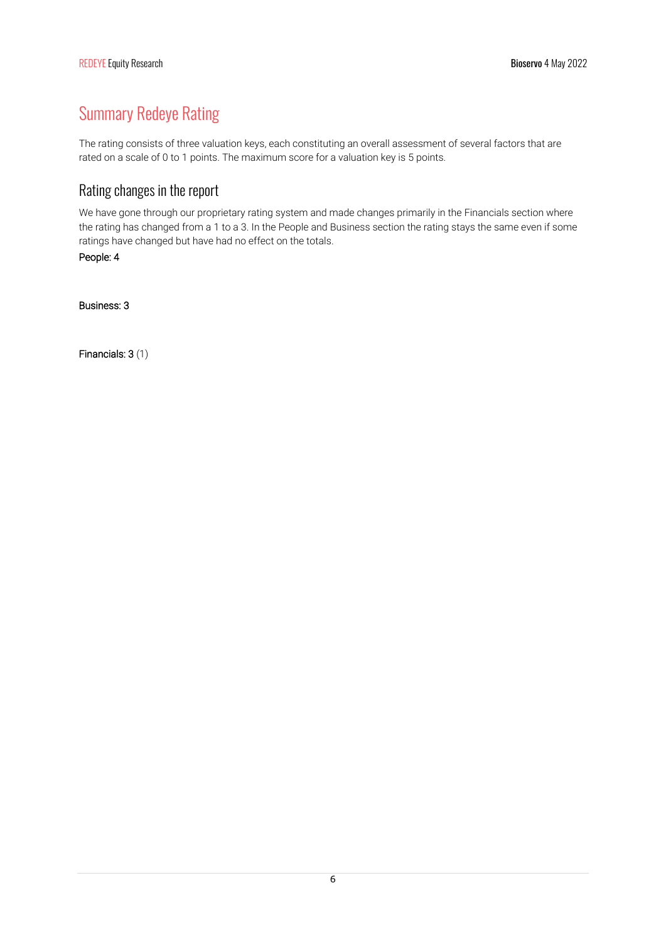# Summary Redeye Rating

The rating consists of three valuation keys, each constituting an overall assessment of several factors that are rated on a scale of 0 to 1 points. The maximum score for a valuation key is 5 points.

### Rating changes in the report

We have gone through our proprietary rating system and made changes primarily in the Financials section where the rating has changed from a 1 to a 3. In the People and Business section the rating stays the same even if some ratings have changed but have had no effect on the totals.

People: 4

Business: 3

Financials: 3 (1)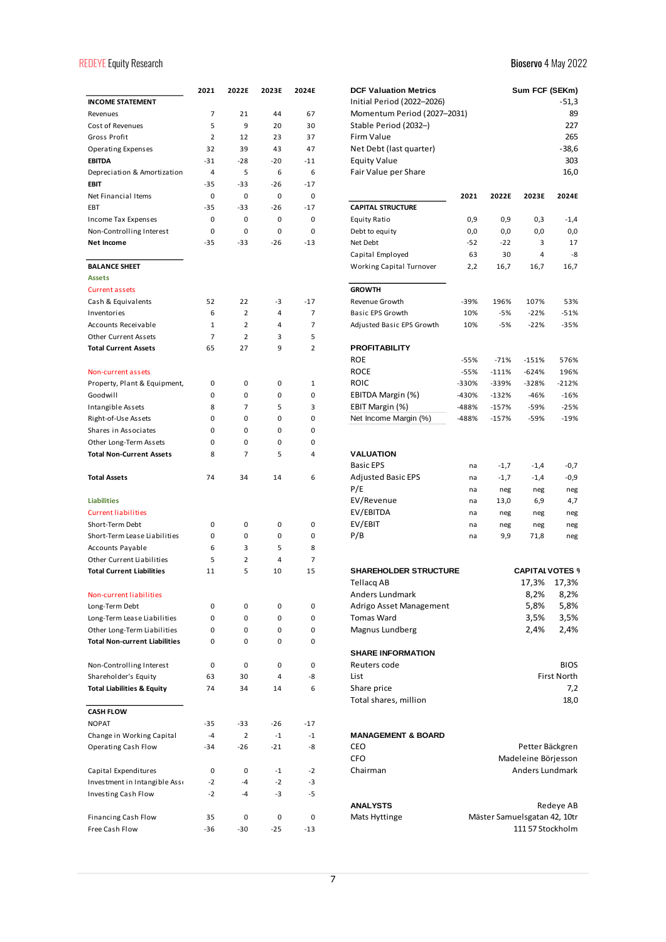### REDEYE Equity Research **Bioservo 4 May 2022**

|                                       | 2021        | 2022E          | 2023E | 2024E | <b>DCF Valuation Metrics</b>  |         |         | Sum FCF (SEKm)               |             |
|---------------------------------------|-------------|----------------|-------|-------|-------------------------------|---------|---------|------------------------------|-------------|
| <b>INCOME STATEMENT</b>               |             |                |       |       | Initial Period (2022-2026)    |         |         |                              | $-51,3$     |
| Revenues                              | 7           | 21             | 44    | 67    | Momentum Period (2027-2031)   |         |         |                              | 89          |
| Cost of Revenues                      | 5           | 9              | 20    | 30    | Stable Period (2032-)         |         |         |                              | 227         |
| Gross Profit                          | 2           | 12             | 23    | 37    | Firm Value                    |         |         |                              | 265         |
| Operating Expenses                    | 32          | 39             | 43    | 47    | Net Debt (last quarter)       |         |         |                              | $-38,6$     |
| <b>EBITDA</b>                         | -31         | $-28$          | -20   | $-11$ | <b>Equity Value</b>           |         |         |                              | 303         |
| Depreciation & Amortization           | 4           | 5              | 6     | 6     | Fair Value per Share          |         |         |                              | 16,0        |
| <b>EBIT</b>                           | $-35$       | $-33$          | $-26$ | $-17$ |                               |         |         |                              |             |
| Net Financial Items                   | 0           | 0              | 0     | 0     |                               | 2021    | 2022E   | 2023E                        | 2024E       |
| EBT                                   | $-35$       | -33            | $-26$ | $-17$ | <b>CAPITAL STRUCTURE</b>      |         |         |                              |             |
| Income Tax Expenses                   | 0           | 0              | 0     | 0     | Equity Ratio                  | 0,9     | 0,9     | 0,3                          | $-1,4$      |
| Non-Controlling Interest              | 0           | 0              | 0     | 0     | Debt to equity                | 0,0     | 0,0     | 0,0                          | 0,0         |
| Net Income                            | $-35$       | $-33$          | $-26$ | $-13$ | Net Debt                      | $-52$   | $-22$   | 3                            | 17          |
|                                       |             |                |       |       | Capital Employed              | 63      | 30      | $\overline{4}$               | -8          |
| <b>BALANCE SHEET</b>                  |             |                |       |       | Working Capital Turnover      | 2,2     | 16,7    | 16,7                         | 16,7        |
| <b>Assets</b>                         |             |                |       |       |                               |         |         |                              |             |
| <b>Current assets</b>                 |             |                |       |       | <b>GROWTH</b>                 |         |         |                              |             |
| Cash & Equivalents                    | 52          | 22             | -3    | $-17$ | Revenue Growth                | $-39%$  | 196%    | 107%                         | 53%         |
| Inventories                           | 6           | $\overline{2}$ | 4     | 7     | <b>Basic EPS Growth</b>       | 10%     | $-5%$   | $-22%$                       | $-51%$      |
| Accounts Receivable                   | $\mathbf 1$ | $\overline{2}$ | 4     | 7     | Adjusted Basic EPS Growth     | 10%     | -5%     | $-22%$                       | $-35%$      |
| Other Current Assets                  | 7           | $\overline{2}$ | 3     | 5     |                               |         |         |                              |             |
| <b>Total Current Assets</b>           | 65          | 27             | 9     | 2     | <b>PROFITABILITY</b>          |         |         |                              |             |
|                                       |             |                |       |       | <b>ROE</b>                    | $-55%$  | $-71%$  | $-151%$                      | 576%        |
| Non-current assets                    |             |                |       |       | <b>ROCE</b>                   | $-55%$  | $-111%$ | $-624%$                      | 196%        |
| Property, Plant & Equipment,          | 0           | 0              | 0     | 1     | <b>ROIC</b>                   | $-330%$ | $-339%$ | $-328%$                      | $-212%$     |
| Goodwill                              | 0           | 0              | 0     | 0     | EBITDA Margin (%)             | -430%   | $-132%$ | $-46%$                       | $-16%$      |
| Intangible Assets                     | 8           | $\overline{7}$ | 5     | 3     | EBIT Margin (%)               | -488%   | $-157%$ | -59%                         | $-25%$      |
| Right-of-Use Assets                   | 0           | 0              | 0     | 0     | Net Income Margin (%)         | -488%   | $-157%$ | -59%                         | $-19%$      |
| Shares in Associates                  | 0           | 0              | 0     | 0     |                               |         |         |                              |             |
| Other Long-Term Assets                | 0           | 0              | 0     | 0     |                               |         |         |                              |             |
| <b>Total Non-Current Assets</b>       | 8           | $\overline{7}$ | 5     | 4     | <b>VALUATION</b>              |         |         |                              |             |
|                                       |             |                |       |       | <b>Basic EPS</b>              | na      | $-1,7$  | $-1,4$                       | -0,7        |
| <b>Total Assets</b>                   | 74          | 34             | 14    | 6     | <b>Adjusted Basic EPS</b>     | na      | $-1,7$  | $-1,4$                       | -0,9        |
|                                       |             |                |       |       | P/E                           | na      | neg     | neg                          | neg         |
| <b>Liabilities</b>                    |             |                |       |       | EV/Revenue                    | na      | 13,0    | 6,9                          | 4,7         |
| <b>Current liabilities</b>            |             |                |       |       | EV/EBITDA                     | na      | neg     | neg                          | neg         |
| Short-Term Debt                       | 0           | 0              | 0     | 0     | EV/EBIT                       | na      | neg     | neg                          | neg         |
| Short-Term Lease Liabilities          | 0           | 0              | 0     | 0     | P/B                           | na      | 9,9     | 71,8                         | neg         |
| Accounts Payable                      | 6           | 3              | 5     | 8     |                               |         |         |                              |             |
| Other Current Liabilities             | 5           | 2              | 4     | 7     |                               |         |         |                              |             |
| <b>Total Current Liabilities</b>      | 11          | 5              | 10    | 15    | <b>SHAREHOLDER STRUCTURE</b>  |         |         | <b>CAPITAI VOTES 9</b>       |             |
|                                       |             |                |       |       | Tellacq AB                    |         |         | 17,3%                        | 17,3%       |
| Non-current liabilities               |             |                |       |       | Anders Lundmark               |         |         | 8,2%                         | 8,2%        |
| Long-Term Debt                        | 0           | 0              | 0     | 0     | Adrigo Asset Management       |         |         | 5,8%                         | 5,8%        |
| Long-Term Lease Liabilities           | 0           | 0              | 0     | 0     | <b>Tomas Ward</b>             |         |         | 3,5%                         | 3,5%        |
| Other Long-Term Liabilities           | 0           | 0              | 0     | 0     | Magnus Lundberg               |         |         | 2,4%                         | 2,4%        |
| <b>Total Non-current Liabilities</b>  | 0           | 0              | 0     | 0     |                               |         |         |                              |             |
|                                       |             |                |       |       | <b>SHARE INFORMATION</b>      |         |         |                              |             |
| Non-Controlling Interest              | 0           | 0              | 0     | 0     | Reuters code                  |         |         |                              | <b>BIOS</b> |
| Shareholder's Equity                  | 63          | 30             | 4     | -8    | List                          |         |         |                              | First North |
| <b>Total Liabilities &amp; Equity</b> | 74          | 34             | 14    | 6     | Share price                   |         |         |                              | 7,2         |
|                                       |             |                |       |       | Total shares, million         |         |         |                              | 18,0        |
| <b>CASH FLOW</b>                      |             |                |       |       |                               |         |         |                              |             |
| <b>NOPAT</b>                          | -35         | $-33$          | $-26$ | $-17$ |                               |         |         |                              |             |
| Change in Working Capital             | $-4$        | $\overline{2}$ | $-1$  | $-1$  | <b>MANAGEMENT &amp; BOARD</b> |         |         |                              |             |
| Operating Cash Flow                   | $-34$       | -26            | $-21$ | -8    | CEO                           |         |         | Petter Bäckgren              |             |
|                                       |             |                |       |       | <b>CFO</b>                    |         |         | Madeleine Börjesson          |             |
| Capital Expenditures                  | 0           | 0              | $-1$  | $-2$  | Chairman                      |         |         | Anders Lundmark              |             |
| Investment in Intangible Ass          | $-2$        | $-4$           | $-2$  | $-3$  |                               |         |         |                              |             |
| Investing Cash Flow                   | $-2$        | $-4$           | $-3$  | $-5$  |                               |         |         |                              |             |
|                                       |             |                |       |       | <b>ANALYSTS</b>               |         |         |                              | Redeye AB   |
| Financing Cash Flow                   | 35          | 0              | 0     | 0     | Mats Hyttinge                 |         |         | Mäster Samuelsgatan 42, 10tr |             |
| Free Cash Flow                        | -36         | -30            | -25   | $-13$ |                               |         |         | 11157 Stockholm              |             |
|                                       |             |                |       |       |                               |         |         |                              |             |

| 2021  | 2022E          | 2023E | 2024E          | <b>DCF Valuation Metrics</b><br>Initial Period (2022-2026) |         |         | Sum FCF (SEKm)               | $-51,3$     |
|-------|----------------|-------|----------------|------------------------------------------------------------|---------|---------|------------------------------|-------------|
| 7     | 21             | 44    | 67             | Momentum Period (2027-2031)                                |         |         |                              | 89          |
| 5     | 9              | 20    | 30             | Stable Period (2032-)                                      |         |         |                              | 227         |
| 2     | 12             | 23    | 37             | Firm Value                                                 |         |         |                              | 265         |
| 32    | 39             | 43    | 47             | Net Debt (last quarter)                                    |         |         |                              | $-38,6$     |
| $-31$ | $-28$          | $-20$ | $-11$          | <b>Equity Value</b>                                        |         |         |                              | 303         |
| 4     | 5              | 6     | 6              | Fair Value per Share                                       |         |         |                              | 16,0        |
| $-35$ | $-33$          | $-26$ | $-17$          |                                                            |         |         |                              |             |
| 0     | 0              | 0     | 0              |                                                            | 2021    | 2022E   | 2023E                        | 2024E       |
| $-35$ | $-33$          | $-26$ | $-17$          | <b>CAPITAL STRUCTURE</b>                                   |         |         |                              |             |
| 0     | 0              | 0     | 0              | Equity Ratio                                               | 0,9     | 0,9     | 0,3                          | $-1,4$      |
| 0     | 0              | 0     | 0              | Debt to equity                                             | 0,0     | 0,0     | 0,0                          | 0,0         |
| $-35$ | $-33$          | $-26$ | $-13$          | Net Debt                                                   | $-52$   | $-22$   | 3                            | 17          |
|       |                |       |                | Capital Employed                                           | 63      | 30      | $\overline{4}$               | -8          |
|       |                |       |                | Working Capital Turnover                                   | 2,2     | 16,7    | 16,7                         | 16,7        |
|       |                |       |                | <b>GROWTH</b>                                              |         |         |                              |             |
| 52    | 22             | -3    | $-17$          | Revenue Growth                                             | $-39%$  | 196%    | 107%                         | 53%         |
| 6     | 2              | 4     | 7              | Basic EPS Growth                                           | 10%     | $-5%$   | $-22%$                       | $-51%$      |
| 1     | $\overline{2}$ | 4     | $\overline{7}$ | Adjusted Basic EPS Growth                                  | 10%     | $-5%$   | $-22%$                       | $-35%$      |
| 7     | $\overline{2}$ | 3     | 5              |                                                            |         |         |                              |             |
| 65    | 27             | 9     | 2              | <b>PROFITABILITY</b>                                       |         |         |                              |             |
|       |                |       |                | <b>ROE</b>                                                 | $-55%$  | $-71%$  | $-151%$                      | 576%        |
|       |                |       |                | <b>ROCE</b>                                                | $-55%$  | $-111%$ | $-624%$                      | 196%        |
| 0     | 0              | 0     | 1              | ROIC                                                       | $-330%$ | $-339%$ | $-328%$                      | $-212%$     |
| 0     | 0              | 0     | 0              | EBITDA Margin (%)                                          | $-430%$ | $-132%$ | $-46%$                       | $-16%$      |
| 8     | $\overline{7}$ | 5     | 3              | EBIT Margin (%)                                            | -488%   | $-157%$ | -59%                         | $-25%$      |
| 0     | 0              | 0     | 0              | Net Income Margin (%)                                      | -488%   | $-157%$ | -59%                         | $-19%$      |
| 0     | 0              | 0     | 0              |                                                            |         |         |                              |             |
| 0     | 0              | 0     | 0              |                                                            |         |         |                              |             |
| 8     | $\overline{7}$ | 5     | 4              | VALUATION                                                  |         |         |                              |             |
|       |                |       |                | <b>Basic EPS</b>                                           | na      | $-1,7$  | $-1,4$                       | -0,7        |
| 74    | 34             | 14    | 6              | <b>Adjusted Basic EPS</b>                                  | na      | $-1,7$  | $-1,4$                       | -0,9        |
|       |                |       |                | P/E                                                        | na      | neg     | neg                          | neg         |
|       |                |       |                | EV/Revenue                                                 | na      | 13,0    | 6,9                          | 4,7         |
|       |                |       |                | EV/EBITDA                                                  | na      | neg     | neg                          | neg         |
| 0     | 0              | 0     | 0              | EV/EBIT                                                    | na      | neg     | neg                          | neg         |
| 0     | 0              | 0     | 0              | P/B                                                        | na      | 9,9     | 71,8                         | neg         |
| 6     | 3              | 5     | 8              |                                                            |         |         |                              |             |
| 5     | $\overline{2}$ | 4     | 7              |                                                            |         |         |                              |             |
| 11    | 5              | 10    | 15             | <b>SHAREHOLDER STRUCTURE</b>                               |         |         | <b>CAPITAL VOTES 9</b>       |             |
|       |                |       |                | <b>Tellacq AB</b>                                          |         |         | 17,3%                        | 17,3%       |
|       |                |       |                | <b>Anders Lundmark</b>                                     |         |         | 8,2%                         | 8,2%        |
| 0     | 0              | 0     | 0              | Adrigo Asset Management                                    |         |         | 5,8%                         | 5,8%        |
| 0     | 0              | 0     | 0              | <b>Tomas Ward</b>                                          |         |         | 3,5%                         | 3,5%        |
| 0     | 0              | 0     | 0              | Magnus Lundberg                                            |         |         | 2,4%                         | 2,4%        |
| 0     | 0              | 0     | 0              |                                                            |         |         |                              |             |
|       |                |       |                | <b>SHARE INFORMATION</b>                                   |         |         |                              |             |
| 0     | 0              | 0     | 0              | Reuters code                                               |         |         |                              | <b>BIOS</b> |
| 63    | 30             | 4     | -8             | List                                                       |         |         |                              | First North |
| 74    | 34             | 14    | 6              | Share price<br>Total shares, million                       |         |         |                              | 7,2<br>18,0 |
| $-35$ | $-33$          | $-26$ | $-17$          |                                                            |         |         |                              |             |
| $-4$  | $\overline{2}$ | $-1$  | $-1$           | <b>MANAGEMENT &amp; BOARD</b>                              |         |         |                              |             |
| $-34$ | $-26$          | $-21$ | -8             | CEO                                                        |         |         | Petter Bäckgren              |             |
|       |                |       |                | <b>CFO</b>                                                 |         |         | Madeleine Börjesson          |             |
| 0     | 0              | $-1$  | $-2$           | Chairman                                                   |         |         | <b>Anders Lundmark</b>       |             |
| $-2$  | -4             | $-2$  | $-3$           |                                                            |         |         |                              |             |
| $-2$  | -4             | -3    | $-5$           |                                                            |         |         |                              |             |
|       |                |       |                | <b>ANALYSTS</b>                                            |         |         |                              | Redeye AB   |
| 35    | 0              | 0     | 0              | Mats Hyttinge                                              |         |         | Mäster Samuelsgatan 42, 10tr |             |
| $-36$ | $-30$          | $-25$ | $-13$          |                                                            |         |         | 111 57 Stockholm             |             |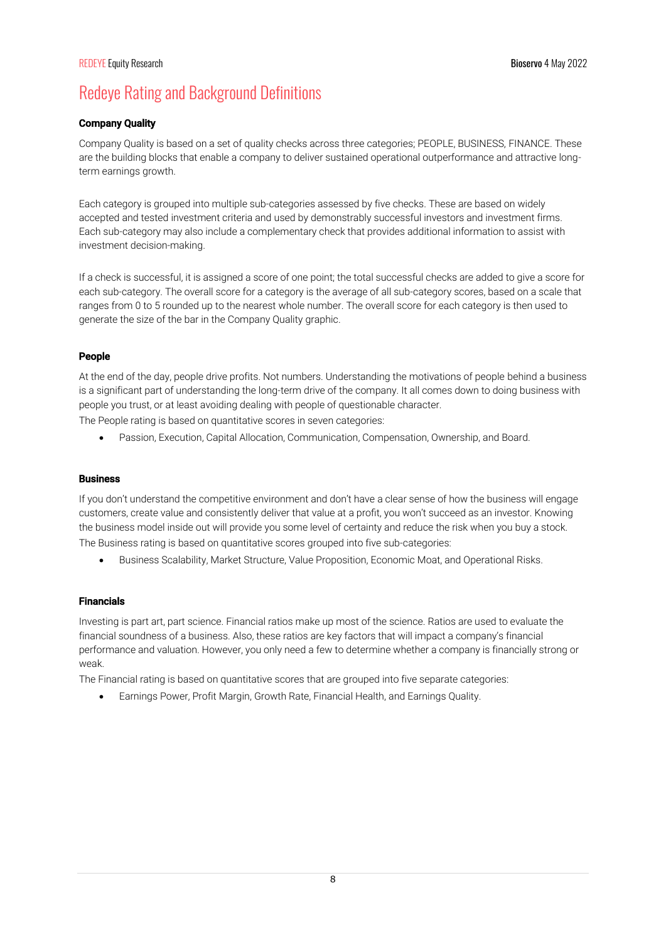# Redeye Rating and Background Definitions

#### Company Quality

Company Quality is based on a set of quality checks across three categories; PEOPLE, BUSINESS, FINANCE. These are the building blocks that enable a company to deliver sustained operational outperformance and attractive longterm earnings growth.

Each category is grouped into multiple sub-categories assessed by five checks. These are based on widely accepted and tested investment criteria and used by demonstrably successful investors and investment firms. Each sub-category may also include a complementary check that provides additional information to assist with investment decision-making.

If a check is successful, it is assigned a score of one point; the total successful checks are added to give a score for each sub-category. The overall score for a category is the average of all sub-category scores, based on a scale that ranges from 0 to 5 rounded up to the nearest whole number. The overall score for each category is then used to generate the size of the bar in the Company Quality graphic.

#### People

At the end of the day, people drive profits. Not numbers. Understanding the motivations of people behind a business is a significant part of understanding the long-term drive of the company. It all comes down to doing business with people you trust, or at least avoiding dealing with people of questionable character.

The People rating is based on quantitative scores in seven categories:

• Passion, Execution, Capital Allocation, Communication, Compensation, Ownership, and Board.

#### Business

If you don't understand the competitive environment and don't have a clear sense of how the business will engage customers, create value and consistently deliver that value at a profit, you won't succeed as an investor. Knowing the business model inside out will provide you some level of certainty and reduce the risk when you buy a stock. The Business rating is based on quantitative scores grouped into five sub-categories:

• Business Scalability, Market Structure, Value Proposition, Economic Moat, and Operational Risks.

#### Financials

Investing is part art, part science. Financial ratios make up most of the science. Ratios are used to evaluate the financial soundness of a business. Also, these ratios are key factors that will impact a company's financial performance and valuation. However, you only need a few to determine whether a company is financially strong or weak.

The Financial rating is based on quantitative scores that are grouped into five separate categories:

• Earnings Power, Profit Margin, Growth Rate, Financial Health, and Earnings Quality.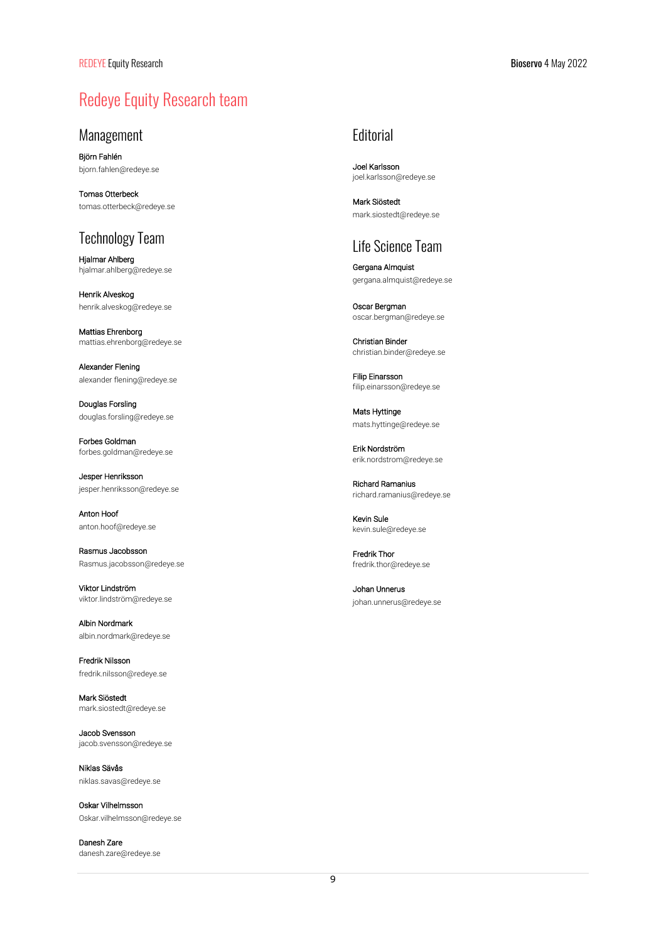### Redeye Equity Research team

### Management

Björn Fahlén bjorn.fahlen@redeye.se

Tomas Otterbeck tomas.otterbeck@redeye.se

# Technology Team

Hjalmar Ahlberg hjalmar.ahlberg@redeye.se

Henrik Alveskog henrik.alveskog@redeye.se

Mattias Ehrenborg mattias.ehrenborg@redeye.se

Alexander Flening alexander flening@redeye.se

Douglas Forsling douglas.forsling@redeye.se

Forbes Goldman forbes.goldman@redeye.se

Jesper Henriksson jesper.henriksson@redeye.se

Anton Hoof anton.hoof@redeye.se

Rasmus Jacobsson Rasmus.jacobsson@redeye.se

Viktor Lindström viktor.lindström@redeye.se

Albin Nordmark albin.nordmark@redeye.se

Fredrik Nilsson fredrik.nilsson@redeye.se

Mark Siöstedt mark.siostedt@redeye.se

Jacob Svensson jacob.svensson@redeye.se

Niklas Sävås niklas.savas@redeye.se

Oskar Vilhelmsson Oskar.vilhelmsson@redeye.se

Danesh Zare danesh.zare@redeye.se

### Editorial

Joel Karlsson joel.karlsson@redeye.se

Mark Siöstedt mark.siostedt@redeye.se

### Life Science Team

Gergana Almquist gergana.almquist@redeye.se

Oscar Bergman oscar.bergman@redeye.se

Christian Binder christian.binder@redeye.se

Filip Einarsson filip.einarsson@redeye.se

Mats Hyttinge mats.hyttinge@redeye.se

Erik Nordström erik.nordstrom@redeye.se

Richard Ramanius richard.ramanius@redeye.se

Kevin Sule kevin.sule@redeye.se

Fredrik Thor fredrik.thor@redeye.se

Johan Unnerus johan.unnerus@redeye.se